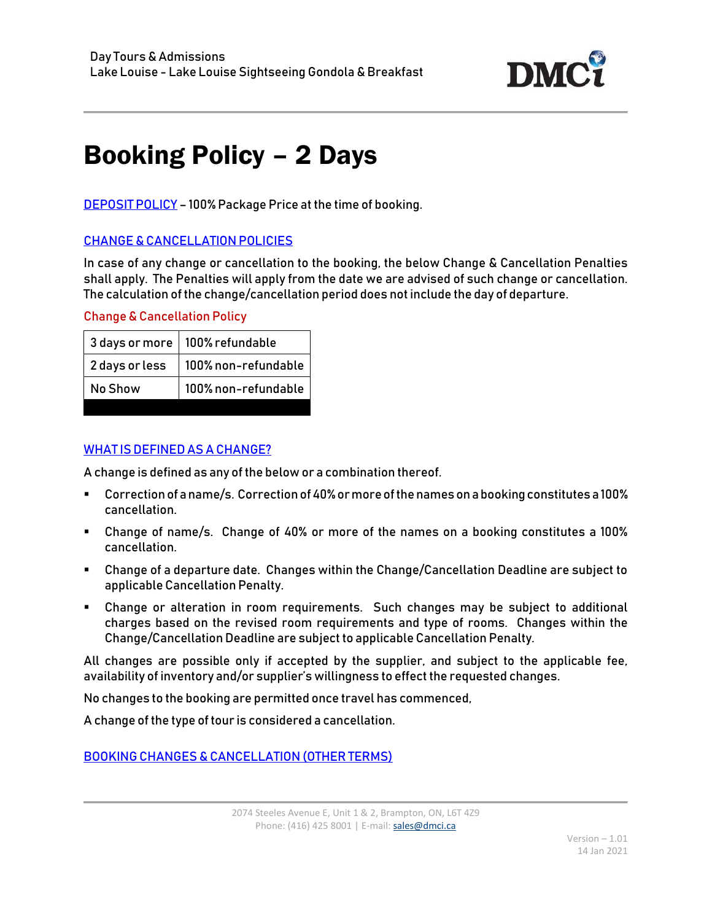

## Booking Policy – 2 Days

DEPOSIT POLICY – 100% Package Price at the time of booking.

## CHANGE & CANCELLATION POLICIES

In case of any change or cancellation to the booking, the below Change & Cancellation Penalties shall apply. The Penalties will apply from the date we are advised of such change or cancellation. The calculation of the change/cancellation period does not include the day of departure.

## Change & Cancellation Policy

|                | 3 days or more   100% refundable |
|----------------|----------------------------------|
| 2 days or less | 100% non-refundable              |
| No Show        | 100% non-refundable              |

## WHAT IS DEFINED AS A CHANGE?

A change is defined as any of the below or a combination thereof.

- Correction of a name/s. Correction of 40% or more of the names on a booking constitutes a 100% cancellation.
- Change of name/s. Change of 40% or more of the names on a booking constitutes a 100% cancellation.
- Change of a departure date. Changes within the Change/Cancellation Deadline are subject to applicable Cancellation Penalty.
- Change or alteration in room requirements. Such changes may be subject to additional charges based on the revised room requirements and type of rooms. Changes within the Change/Cancellation Deadline are subject to applicable Cancellation Penalty.

All changes are possible only if accepted by the supplier, and subject to the applicable fee, availability of inventory and/or supplier's willingness to effect the requested changes.

No changes to the booking are permitted once travel has commenced,

A change of the type of tour is considered a cancellation.

BOOKING CHANGES & CANCELLATION (OTHER TERMS)